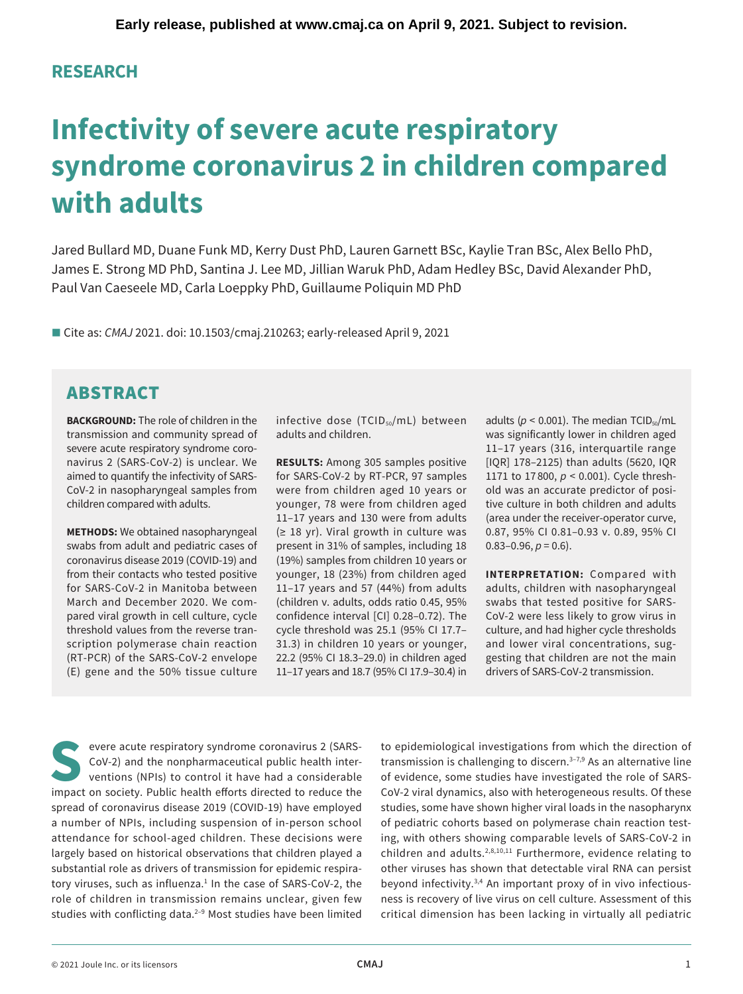## **RESEARCH**

# **Infectivity of severe acute respiratory syndrome coronavirus 2 in children compared with adults**

Jared Bullard MD, Duane Funk MD, Kerry Dust PhD, Lauren Garnett BSc, Kaylie Tran BSc, Alex Bello PhD, James E. Strong MD PhD, Santina J. Lee MD, Jillian Waruk PhD, Adam Hedley BSc, David Alexander PhD, Paul Van Caeseele MD, Carla Loeppky PhD, Guillaume Poliquin MD PhD

■ Cite as: *CMAJ* 2021. doi: 10.1503/cmaj.210263; early-released April 9, 2021

# ABSTRACT

**BACKGROUND:** The role of children in the transmission and community spread of severe acute respiratory syndrome coronavirus 2 (SARS-CoV-2) is unclear. We aimed to quantify the infectivity of SARS-CoV-2 in nasopharyngeal samples from children compared with adults.

**METHODS:** We obtained nasopharyngeal swabs from adult and pediatric cases of coronavirus disease 2019 (COVID-19) and from their contacts who tested positive for SARS-CoV-2 in Manitoba between March and December 2020. We compared viral growth in cell culture, cycle threshold values from the reverse transcription polymerase chain reaction (RT-PCR) of the SARS-CoV-2 envelope (E) gene and the 50% tissue culture infective dose  $(TCID<sub>50</sub>/mL)$  between adults and children.

**RESULTS:** Among 305 samples positive for SARS-CoV-2 by RT-PCR, 97 samples were from children aged 10 years or younger, 78 were from children aged 11–17 years and 130 were from adults (≥ 18 yr). Viral growth in culture was present in 31% of samples, including 18 (19%) samples from children 10 years or younger, 18 (23%) from children aged 11–17 years and 57 (44%) from adults (children v. adults, odds ratio 0.45, 95% confidence interval [CI] [0.28–0.72\)](https://0.28�0.72). The cycle threshold was 25.1 (95% CI 17.7– 31.3) in children 10 years or younger, 22.2 (95% CI 18.3–29.0) in children aged 11–17 years and 18.7 (95% CI 17.9–30.4) in adults ( $p < 0.001$ ). The median TCID<sub>50</sub>/mL was significantly lower in children aged 11–17 years (316, interquartile range [IQR] 178–2125) than adults (5620, IQR 1171 to 17 800, *p* < 0.001). Cycle threshold was an accurate predictor of positive culture in both children and adults (area under the receiver-operator curve, 0.87, 95% CI [0.81–0.93](https://0.81�0.93) v. 0.89, 95% CI  $0.83-0.96, p = 0.6$ ).

**INTERPRETATION:** Compared with adults, children with nasopharyngeal swabs that tested positive for SARS-CoV-2 were less likely to grow virus in culture, and had higher cycle thresholds and lower viral concentrations, suggesting that children are not the main drivers of SARS-CoV-2 transmission.

evere acute respiratory syndrome coronavirus 2 (SARS-CoV-2) and the nonpharmaceutical public health interventions (NPIs) to control it have had a considerable impact on society. Public health efforts directed to reduce the spread of coronavirus disease 2019 (COVID-19) have employed a number of NPIs, including suspension of in-person school attendance for school-aged children. These decisions were largely based on historical observations that children played a substantial role as drivers of transmission for epidemic respiratory viruses, such as influenza.<sup>1</sup> In the case of SARS-CoV-2, the role of children in transmission remains unclear, given few studies with conflicting data.<sup>2-9</sup> Most studies have been limited to epidemiological investigations from which the direction of transmission is challenging to discern. $3-7,9$  As an alternative line of evidence, some studies have investigated the role of SARS-CoV-2 viral dynamics, also with heterogeneous results. Of these studies, some have shown higher viral loads in the nasopharynx of pediatric cohorts based on polymerase chain reaction testing, with others showing comparable levels of SARS-CoV-2 in children and adults.<sup>2,8,10,11</sup> Furthermore, evidence relating to other viruses has shown that detectable viral RNA can persist beyond infectivity.3,4 An important proxy of in vivo infectiousness is recovery of live virus on cell culture. Assessment of this critical dimension has been lacking in virtually all pediatric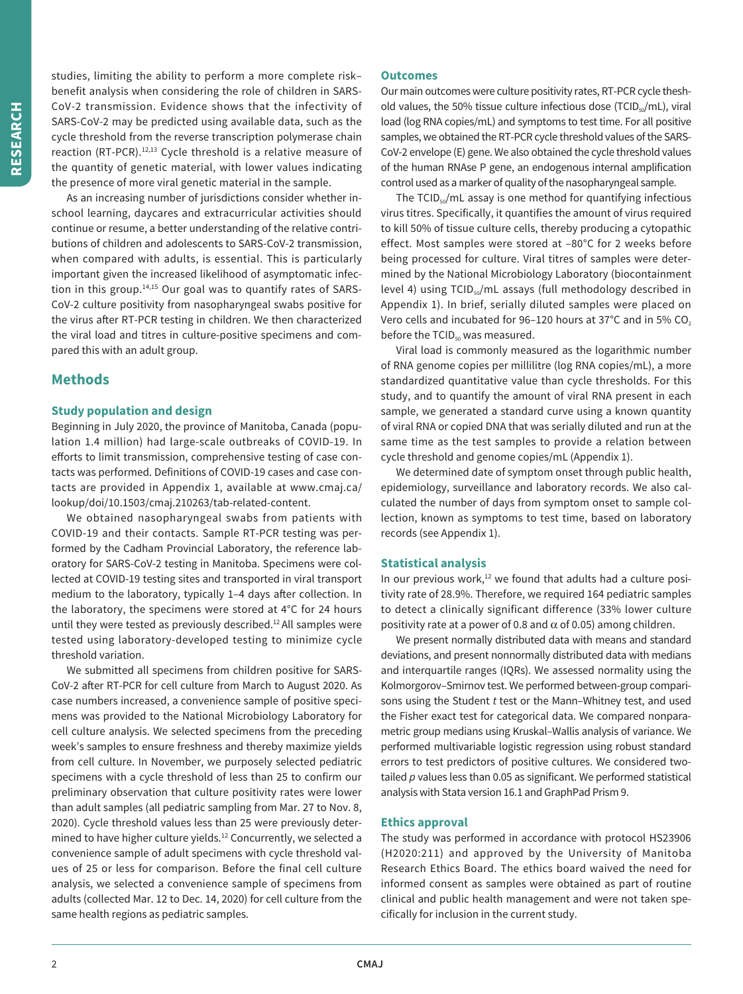studies, limiting the ability to perform a more complete risk– benefit analysis when considering the role of children in SARS-CoV-2 transmission. Evidence shows that the infectivity of SARS-CoV-2 may be predicted using available data, such as the cycle threshold from the reverse transcription polymerase chain reaction (RT-PCR).<sup>12,13</sup> Cycle threshold is a relative measure of the quantity of genetic material, with lower values indicating the presence of more viral genetic material in the sample.

As an increasing number of jurisdictions consider whether inschool learning, daycares and extracurricular activities should continue or resume, a better understanding of the relative contributions of children and adolescents to SARS-CoV-2 transmission, when compared with adults, is essential. This is particularly important given the increased likelihood of asymptomatic infection in this group.<sup>14,15</sup> Our goal was to quantify rates of SARS-CoV-2 culture positivity from nasopharyngeal swabs positive for the virus after RT-PCR testing in children. We then characterized the viral load and titres in culture-positive specimens and compared this with an adult group.

## **Methods**

#### **Study population and design**

Beginning in July 2020, the province of Manitoba, Canada (population 1.4 million) had large-scale outbreaks of COVID-19. In eforts to limit transmission, comprehensive testing of case contacts was performed. Definitions of COVID-19 cases and case contacts are provided in Appendix 1, available at [www.cmaj.ca/](www.cmaj.ca) lookup/doi/10.1503/cmaj.210263/tab-related-content.

We obtained nasopharyngeal swabs from patients with COVID-19 and their contacts. Sample RT-PCR testing was performed by the Cadham Provincial Laboratory, the reference laboratory for SARS-CoV-2 testing in Manitoba. Specimens were collected at COVID-19 testing sites and transported in viral transport medium to the laboratory, typically 1–4 days afer collection. In the laboratory, the specimens were stored at 4°C for 24 hours until they were tested as previously described.<sup>12</sup> All samples were tested using laboratory-developed testing to minimize cycle threshold variation.

We submitted all specimens from children positive for SARS-CoV-2 after RT-PCR for cell culture from March to August 2020. As case numbers increased, a convenience sample of positive specimens was provided to the National Microbiology Laboratory for cell culture analysis. We selected specimens from the preceding week's samples to ensure freshness and thereby maximize yields from cell culture. In November, we purposely selected pediatric specimens with a cycle threshold of less than 25 to confirm our preliminary observation that culture positivity rates were lower than adult samples (all pediatric sampling from Mar. 27 to Nov. 8, 2020). Cycle threshold values less than 25 were previously determined to have higher culture yields.<sup>12</sup> Concurrently, we selected a convenience sample of adult specimens with cycle threshold values of 25 or less for comparison. Before the final cell culture analysis, we selected a convenience sample of specimens from adults (collected Mar. 12 to Dec. 14, 2020) for cell culture from the same health regions as pediatric samples.

## **Outcomes**

Our main outcomes were culture positivity rates, RT-PCR cycle theshold values, the 50% tissue culture infectious dose (TCID $_{50}$ /mL), viral load (log RNA copies/mL) and symptoms to test time. For all positive samples, we obtained the RT-PCR cycle threshold values of the SARS-CoV-2 envelope (E) gene. We also obtained the cycle threshold values of the human RNAse P gene, an endogenous internal amplification control used as a marker of quality of the nasopharyngeal sample.

The TCID<sub>50</sub>/mL assay is one method for quantifying infectious virus titres. Specifically, it quantifies the amount of virus required to kill 50% of tissue culture cells, thereby producing a cytopathic effect. Most samples were stored at –80°C for 2 weeks before being processed for culture. Viral titres of samples were determined by the National Microbiology Laboratory (biocontainment level 4) using TCID<sub>50</sub>/mL assays (full methodology described in Appendix 1). In brief, serially diluted samples were placed on Vero cells and incubated for 96-120 hours at 37 $^{\circ}$ C and in 5% CO<sub>2</sub> before the  $TCID_{50}$  was measured.

Viral load is commonly measured as the logarithmic number of RNA genome copies per millilitre (log RNA copies/mL), a more standardized quantitative value than cycle thresholds. For this study, and to quantify the amount of viral RNA present in each sample, we generated a standard curve using a known quantity of viral RNA or copied DNA that was serially diluted and run at the same time as the test samples to provide a relation between cycle threshold and genome copies/mL (Appendix 1).

We determined date of symptom onset through public health, epidemiology, surveillance and laboratory records. We also calculated the number of days from symptom onset to sample collection, known as symptoms to test time, based on laboratory records (see Appendix 1).

## **Statistical analysis**

In our previous work, $12$  we found that adults had a culture positivity rate of 28.9%. Therefore, we required 164 pediatric samples to detect a clinically significant difference (33% lower culture positivity rate at a power of 0.8 and  $\alpha$  of 0.05) among children.

We present normally distributed data with means and standard deviations, and present nonnormally distributed data with medians and interquartile ranges (IQRs). We assessed normality using the Kolmorgorov–Smirnov test. We performed between-group comparisons using the Student *t* test or the Mann–Whitney test, and used the Fisher exact test for categorical data. We compared nonparametric group medians using Kruskal–Wallis analysis of variance. We performed multivariable logistic regression using robust standard errors to test predictors of positive cultures. We considered twotailed *p* values less than 0.05 as significant. We performed statistical analysis with Stata version 16.1 and GraphPad Prism 9.

#### **Ethics approval**

The study was performed in accordance with protocol HS23906 (H2020:211) and approved by the University of Manitoba Research Ethics Board. The ethics board waived the need for informed consent as samples were obtained as part of routine clinical and public health management and were not taken specifically for inclusion in the current study.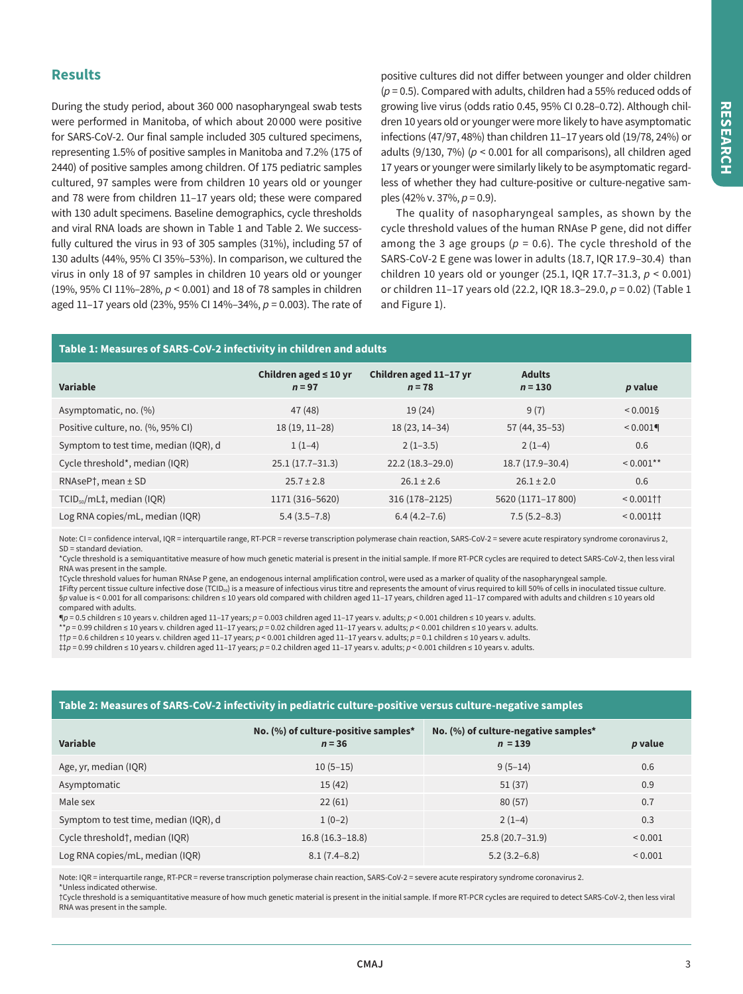## **Results**

During the study period, about 360 000 nasopharyngeal swab tests were performed in Manitoba, of which about 20 000 were positive for SARS-CoV-2. Our final sample included 305 cultured specimens, representing 1.5% of positive samples in Manitoba and 7.2% (175 of 2440) of positive samples among children. Of 175 pediatric samples cultured, 97 samples were from children 10 years old or younger and 78 were from children 11–17 years old; these were compared with 130 adult specimens. Baseline demographics, cycle thresholds and viral RNA loads are shown in Table 1 and Table 2. We successfully cultured the virus in 93 of 305 samples (31%), including 57 of 130 adults (44%, 95% CI 35%–53%). In comparison, we cultured the virus in only 18 of 97 samples in children 10 years old or younger (19%, 95% CI 11%–28%, *p* < 0.001) and 18 of 78 samples in children aged 11–17 years old (23%, 95% CI 14%–34%, *p* = 0.003). The rate of positive cultures did not difer between younger and older children (*p* = 0.5). Compared with adults, children had a 55% reduced odds of growing live virus (odds ratio 0.45, 95% CI [0.28–0.72](https://0.28�0.72)). Although children 10 years old or younger were more likely to have asymptomatic infections (47/97, 48%) than children 11–17 years old (19/78, 24%) or adults (9/130, 7%) (*p* < 0.001 for all comparisons), all children aged 17 years or younger were similarly likely to be asymptomatic regardless of whether they had culture-positive or culture-negative samples (42% v. 37%, *p* = 0.9).

The quality of nasopharyngeal samples, as shown by the cycle threshold values of the human RNAse P gene, did not difer among the 3 age groups ( $p = 0.6$ ). The cycle threshold of the SARS-CoV-2 E gene was lower in adults (18.7, IQR 17.9–30.4) than children 10 years old or younger (25.1, IQR 17.7–31.3, *p* < 0.001) or children 11–17 years old (22.2, IQR 18.3–29.0, *p* = 0.02) (Table 1 and Figure 1).

#### **Table 1: Measures of SARS-CoV-2 infectivity in children and adults**

| Variable                              | Children aged $\leq 10$ yr<br>$n = 97$ | Children aged 11-17 yr<br>$n = 78$ | <b>Adults</b><br>$n = 130$ | p value                                    |
|---------------------------------------|----------------------------------------|------------------------------------|----------------------------|--------------------------------------------|
| Asymptomatic, no. (%)                 | 47 (48)                                | 19(24)                             | 9(7)                       | ${}_{0.0015}$                              |
| Positive culture, no. (%, 95% CI)     | $18(19, 11-28)$                        | 18 (23, 14 - 34)                   | 57 (44, 35 - 53)           | $< 0.001$ <sup>4</sup>                     |
| Symptom to test time, median (IQR), d | $1(1-4)$                               | $2(1-3.5)$                         | $2(1-4)$                   | 0.6                                        |
| Cycle threshold*, median (IQR)        | $25.1(17.7-31.3)$                      | $22.2(18.3-29.0)$                  | 18.7 (17.9-30.4)           | $< 0.001$ **                               |
| $RNASEP^{\dagger}$ , mean $\pm$ SD    | $25.7 \pm 2.8$                         | $26.1 \pm 2.6$                     | $26.1 \pm 2.0$             | 0.6                                        |
| $TCID_{so}/mL+$ , median (IQR)        | 1171 (316-5620)                        | 316 (178-2125)                     | 5620 (1171-17 800)         | $< 0.001$ † †                              |
| Log RNA copies/mL, median (IQR)       | $5.4(3.5 - 7.8)$                       | $6.4(4.2 - 7.6)$                   | $7.5(5.2 - 8.3)$           | $< 0.001$ <sup><math>\ddagger</math></sup> |

Note: CI = confidence interval, IQR = interquartile range, RT-PCR = reverse transcription polymerase chain reaction, SARS-CoV-2 = severe acute respiratory syndrome coronavirus 2, SD = standard deviation.

\*Cycle threshold is a semiquantitative measure of how much genetic material is present in the initial sample. If more RT-PCR cycles are required to detect SARS-CoV-2, then less viral RNA was present in the sample.

†Cycle threshold values for human RNAse P gene, an endogenous internal amplification control, were used as a marker of quality of the nasopharyngeal sample. ‡Fifty percent tissue culture infective dose (TCID<sub>50</sub>) is a measure of infectious virus titre and represents the amount of virus required to kill 50% of cells in inoculated tissue culture. §*p* value is < 0.001 for all comparisons: children ≤ 10 years old compared with children aged 11-17 years, children aged 11-17 compared with adults and children ≤ 10 years old compared with adults.

¶*p* = 0.5 children ≤ 10 years v. children aged 11–17 years; *p* = 0.003 children aged 11–17 years v. adults; *p* < 0.001 children ≤ 10 years v. adults.

\*\**p* = 0.99 children ≤ 10 years v. children aged 11–17 years; *p* = 0.02 children aged 11–17 years v. adults; *p* < 0.001 children ≤ 10 years v. adults.

††*p* = 0.6 children ≤ 10 years v. children aged 11–17 years; *p* < 0.001 children aged 11–17 years v. adults; *p* = 0.1 children ≤ 10 years v. adults.

‡‡*p* = 0.99 children ≤ 10 years v. children aged 11–17 years; *p* = 0.2 children aged 11–17 years v. adults; *p* < 0.001 children ≤ 10 years v. adults.

#### **Table 2: Measures of SARS-CoV-2 infectivity in pediatric culture-positive versus culture-negative samples**

| Variable                              | No. $(\%)$ of culture-positive samples*<br>$n = 36$ | No. $(\%)$ of culture-negative samples*<br>$n = 139$ | p value        |
|---------------------------------------|-----------------------------------------------------|------------------------------------------------------|----------------|
| Age, yr, median (IQR)                 | $10(5-15)$                                          | $9(5-14)$                                            | 0.6            |
| Asymptomatic                          | 15(42)                                              | 51(37)                                               | 0.9            |
| Male sex                              | 22(61)                                              | 80(57)                                               | 0.7            |
| Symptom to test time, median (IQR), d | $1(0-2)$                                            | $2(1-4)$                                             | 0.3            |
| Cycle threshold†, median (IQR)        | $16.8(16.3-18.8)$                                   | $25.8(20.7 - 31.9)$                                  | ${}_{0.001}$   |
| Log RNA copies/mL, median (IQR)       | $8.1(7.4-8.2)$                                      | $5.2(3.2-6.8)$                                       | ${}^{8}$ 0.001 |

Note: IQR = interquartile range, RT-PCR = reverse transcription polymerase chain reaction, SARS-CoV-2 = severe acute respiratory syndrome coronavirus 2.

\*Unless indicated otherwise.

†Cycle threshold is a semiquantitative measure of how much genetic material is present in the initial sample. If more RT-PCR cycles are required to detect SARS-CoV-2, then less viral RNA was present in the sample.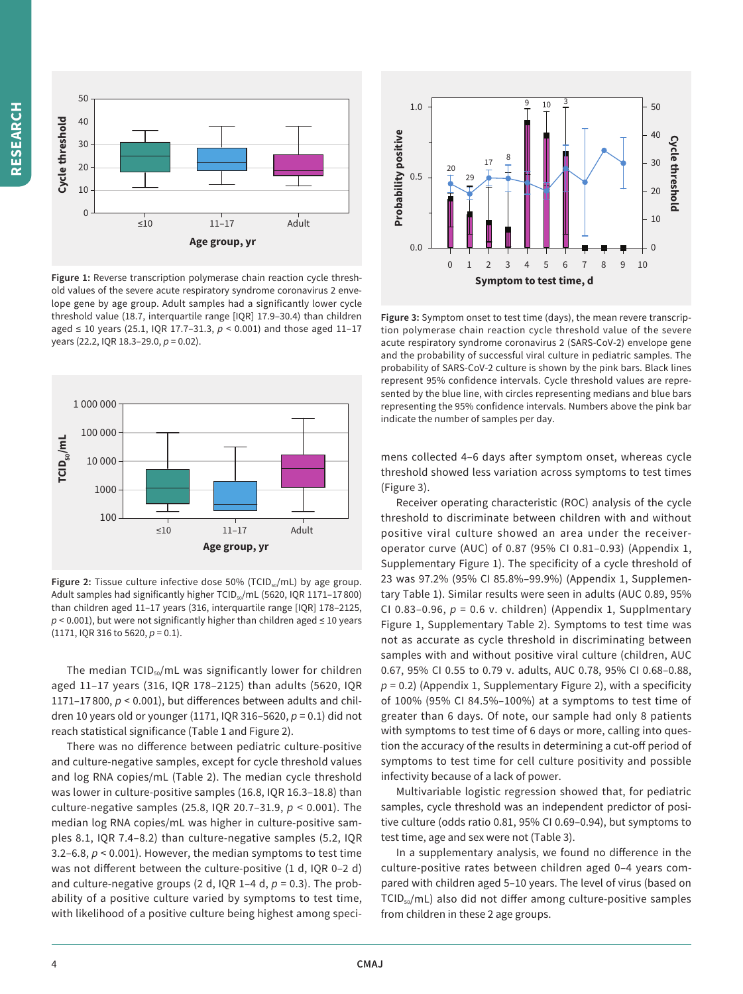

**Figure 1:** Reverse transcription polymerase chain reaction cycle threshold values of the severe acute respiratory syndrome coronavirus 2 envelope gene by age group. Adult samples had a significantly lower cycle threshold value (18.7, interquartile range [IQR] 17.9–30.4) than children aged ≤ 10 years (25.1, IQR 17.7–31.3, *p* < 0.001) and those aged 11–17 years (22.2, IQR 18.3–29.0, *p* = 0.02).



Figure 2: Tissue culture infective dose 50% (TCID<sub>50</sub>/mL) by age group. Adult samples had significantly higher TCID<sub>50</sub>/mL (5620, IQR 1171-17800) than children aged 11–17 years (316, interquartile range [IQR] 178–2125,  $p$  < 0.001), but were not significantly higher than children aged  $\leq$  10 years (1171, IQR 316 to 5620, *p* = 0.1).

The median TCID<sub>50</sub>/mL was significantly lower for children aged 11–17 years (316, IQR 178–2125) than adults (5620, IQR 1171–17 800, *p* < 0.001), but diferences between adults and children 10 years old or younger (1171, IQR 316–5620, *p* = 0.1) did not reach statistical significance (Table 1 and Figure 2).

There was no diference between pediatric culture-positive and culture-negative samples, except for cycle threshold values and log RNA copies/mL (Table 2). The median cycle threshold was lower in culture-positive samples (16.8, IQR 16.3–18.8) than culture-negative samples (25.8, IQR 20.7–31.9, *p* < 0.001). The median log RNA copies/mL was higher in culture-positive samples 8.1, IQR 7.4–8.2) than culture-negative samples (5.2, IQR 3.2–6.8,  $p < 0.001$ ). However, the median symptoms to test time was not diferent between the culture-positive (1 d, IQR 0–2 d) and culture-negative groups (2 d, IQR 1-4 d,  $p = 0.3$ ). The probability of a positive culture varied by symptoms to test time, with likelihood of a positive culture being highest among speci-



**Figure 3:** Symptom onset to test time (days), the mean revere transcription polymerase chain reaction cycle threshold value of the severe acute respiratory syndrome coronavirus 2 (SARS-CoV-2) envelope gene and the probability of successful viral culture in pediatric samples. The probability of SARS-CoV-2 culture is shown by the pink bars. Black lines represent 95% confidence intervals. Cycle threshold values are represented by the blue line, with circles representing medians and blue bars representing the 95% confidence intervals. Numbers above the pink bar indicate the number of samples per day.

mens collected 4–6 days afer symptom onset, whereas cycle threshold showed less variation across symptoms to test times (Figure 3).

Receiver operating characteristic (ROC) analysis of the cycle threshold to discriminate between children with and without positive viral culture showed an area under the receiveroperator curve (AUC) of 0.87 (95% CI [0.81–0.93\)](https://0.81�0.93) (Appendix 1, Supplementary Figure 1). The specificity of a cycle threshold of 23 was 97.2% (95% CI 85.8%–99.9%) (Appendix 1, Supplementary Table 1). Similar results were seen in adults (AUC 0.89, 95% CI [0.83–0.96,](https://0.83�0.96)  $p = 0.6$  v. children) (Appendix 1, Supplmentary Figure 1, Supplementary Table 2). Symptoms to test time was not as accurate as cycle threshold in discriminating between samples with and without positive viral culture (children, AUC 0.67, 95% CI 0.55 to 0.79 v. adults, AUC 0.78, 95% CI [0.68–0.88](https://0.68�0.88),  $p = 0.2$ ) (Appendix 1, Supplementary Figure 2), with a specificity of 100% (95% CI 84.5%–100%) at a symptoms to test time of greater than 6 days. Of note, our sample had only 8 patients with symptoms to test time of 6 days or more, calling into question the accuracy of the results in determining a cut-off period of symptoms to test time for cell culture positivity and possible infectivity because of a lack of power.

Multivariable logistic regression showed that, for pediatric samples, cycle threshold was an independent predictor of positive culture (odds ratio 0.81, 95% CI [0.69–0.94\)](https://0.69�0.94), but symptoms to test time, age and sex were not (Table 3).

In a supplementary analysis, we found no diference in the culture-positive rates between children aged 0–4 years compared with children aged 5–10 years. The level of virus (based on TCID<sub>50</sub>/mL) also did not differ among culture-positive samples from children in these 2 age groups.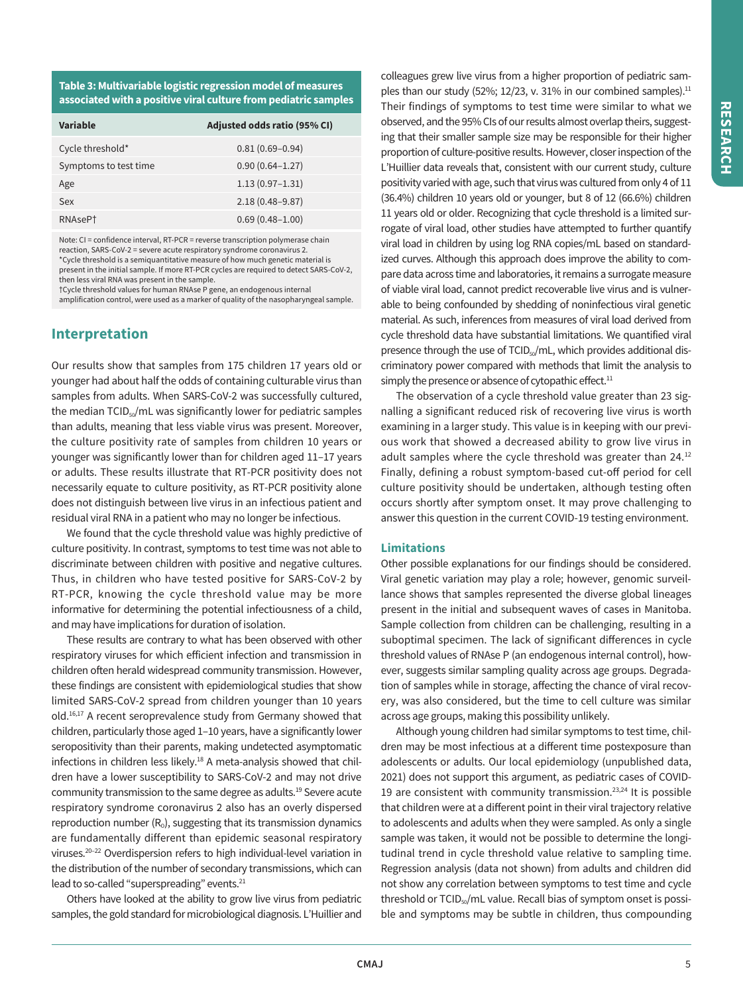**Table 3: Multivariable logistic regression model of measures associated with a positive viral culture from pediatric samples** 

| Variable              | Adjusted odds ratio (95% CI) |
|-----------------------|------------------------------|
| Cycle threshold*      | $0.81(0.69 - 0.94)$          |
| Symptoms to test time | $0.90(0.64 - 1.27)$          |
| Age                   | $1.13(0.97 - 1.31)$          |
| Sex                   | $2.18(0.48 - 9.87)$          |
| RNAsePt               | $0.69(0.48 - 1.00)$          |

Note: CI = confidence interval, RT-PCR = reverse transcription polymerase chain reaction, SARS-CoV-2 = severe acute respiratory syndrome coronavirus 2. \*Cycle threshold is a semiquantitative measure of how much genetic material is present in the initial sample. If more RT-PCR cycles are required to detect SARS-CoV-2, then less viral RNA was present in the sample.

†Cycle threshold values for human RNAse P gene, an endogenous internal

amplification control, were used as a marker of quality of the nasopharyngeal sample.

## **Interpretation**

Our results show that samples from 175 children 17 years old or younger had about half the odds of containing culturable virus than samples from adults. When SARS-CoV-2 was successfully cultured, the median  $TCID<sub>50</sub>/mL$  was significantly lower for pediatric samples than adults, meaning that less viable virus was present. Moreover, the culture positivity rate of samples from children 10 years or younger was significantly lower than for children aged 11–17 years or adults. These results illustrate that RT-PCR positivity does not necessarily equate to culture positivity, as RT-PCR positivity alone does not distinguish between live virus in an infectious patient and residual viral RNA in a patient who may no longer be infectious.

We found that the cycle threshold value was highly predictive of culture positivity. In contrast, symptoms to test time was not able to discriminate between children with positive and negative cultures. Thus, in children who have tested positive for SARS-CoV-2 by RT-PCR, knowing the cycle threshold value may be more informative for determining the potential infectiousness of a child, and may have implications for duration of isolation.

These results are contrary to what has been observed with other respiratory viruses for which eficient infection and transmission in children often herald widespread community transmission. However, these findings are consistent with epidemiological studies that show limited SARS-CoV-2 spread from children younger than 10 years old.<sup>16,17</sup> A recent seroprevalence study from Germany showed that children, particularly those aged 1–10 years, have a significantly lower seropositivity than their parents, making undetected asymptomatic infections in children less likely. $18$  A meta-analysis showed that children have a lower susceptibility to SARS-CoV-2 and may not drive community transmission to the same degree as [adults.19](https://adults.19) Severe acute respiratory syndrome coronavirus 2 also has an overly dispersed reproduction number  $(R_0)$ , suggesting that its transmission dynamics are fundamentally different than epidemic seasonal respiratory viruses.20–22 Overdispersion refers to high individual-level variation in the distribution of the number of secondary transmissions, which can lead to so-called "superspreading" events.<sup>21</sup>

Others have looked at the ability to grow live virus from pediatric samples, the gold standard for microbiological diagnosis. L'Huillier and

colleagues grew live virus from a higher proportion of pediatric samples than our study (52%; 12/23, v. 31% in our combined samples).<sup>11</sup> Their findings of symptoms to test time were similar to what we observed, and the 95% CIs of our results almost overlap theirs, suggesting that their smaller sample size may be responsible for their higher proportion of culture-positive results. However, closer inspection of the L'Huillier data reveals that, consistent with our current study, culture positivity varied with age, such that virus was cultured from only 4 of 11 (36.4%) children 10 years old or younger, but 8 of 12 (66.6%) children 11 years old or older. Recognizing that cycle threshold is a limited surrogate of viral load, other studies have attempted to further quantify viral load in children by using log RNA copies/mL based on standardized curves. Although this approach does improve the ability to compare data across time and laboratories, it remains a surrogate measure of viable viral load, cannot predict recoverable live virus and is vulnerable to being confounded by shedding of noninfectious viral genetic material. As such, inferences from measures of viral load derived from cycle threshold data have substantial limitations. We quantified viral presence through the use of TCID<sub>50</sub>/mL, which provides additional discriminatory power compared with methods that limit the analysis to simply the presence or absence of cytopathic effect.<sup>11</sup>

The observation of a cycle threshold value greater than 23 signalling a significant reduced risk of recovering live virus is worth examining in a larger study. This value is in keeping with our previous work that showed a decreased ability to grow live virus in adult samples where the cycle threshold was greater than 24.12 Finally, defining a robust symptom-based cut-off period for cell culture positivity should be undertaken, although testing often occurs shortly after symptom onset. It may prove challenging to answer this question in the current COVID-19 testing environment.

## **Limitations**

Other possible explanations for our findings should be considered. Viral genetic variation may play a role; however, genomic surveillance shows that samples represented the diverse global lineages present in the initial and subsequent waves of cases in Manitoba. Sample collection from children can be challenging, resulting in a suboptimal specimen. The lack of significant diferences in cycle threshold values of RNAse P (an endogenous internal control), however, suggests similar sampling quality across age groups. Degradation of samples while in storage, afecting the chance of viral recovery, was also considered, but the time to cell culture was similar across age groups, making this possibility unlikely.

Although young children had similar symptoms to test time, children may be most infectious at a diferent time postexposure than adolescents or adults. Our local epidemiology (unpublished data, 2021) does not support this argument, as pediatric cases of COVID-19 are consistent with community transmission.23,24 It is possible that children were at a diferent point in their viral trajectory relative to adolescents and adults when they were sampled. As only a single sample was taken, it would not be possible to determine the longitudinal trend in cycle threshold value relative to sampling time. Regression analysis (data not shown) from adults and children did not show any correlation between symptoms to test time and cycle threshold or TCID<sub>50</sub>/mL value. Recall bias of symptom onset is possible and symptoms may be subtle in children, thus compounding